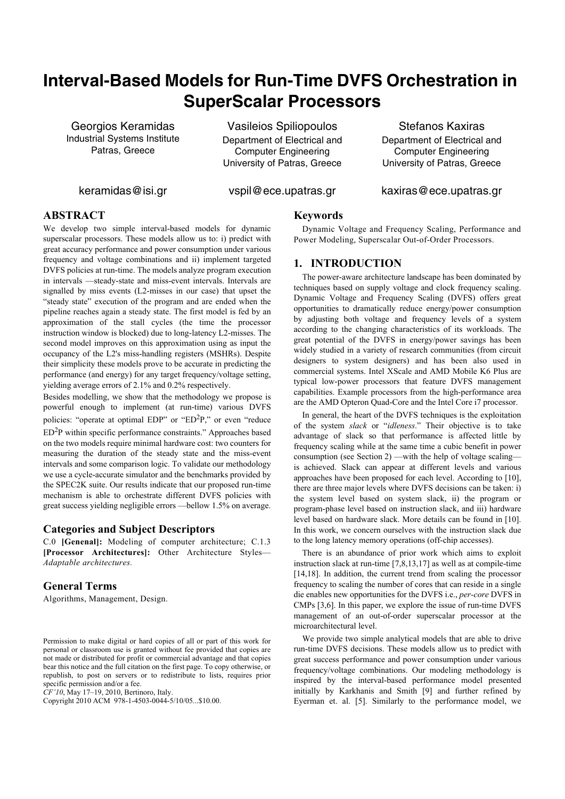# **Interval-Based Models for Run-Time DVFS Orchestration in SuperScalar Processors**

Georgios Keramidas Industrial Systems Institute Patras, Greece

Vasileios Spiliopoulos Department of Electrical and Computer Engineering University of Patras, Greece

Stefanos Kaxiras Department of Electrical and Computer Engineering University of Patras, Greece

keramidas@isi.gr

vspil@ece.upatras.gr

kaxiras@ece.upatras.gr

# **ABSTRACT**

We develop two simple interval-based models for dynamic superscalar processors. These models allow us to: i) predict with great accuracy performance and power consumption under various frequency and voltage combinations and ii) implement targeted DVFS policies at run-time. The models analyze program execution in intervals —steady-state and miss-event intervals. Intervals are signalled by miss events (L2-misses in our case) that upset the "steady state" execution of the program and are ended when the pipeline reaches again a steady state. The first model is fed by an approximation of the stall cycles (the time the processor instruction window is blocked) due to long-latency L2-misses. The second model improves on this approximation using as input the occupancy of the L2's miss-handling registers (MSHRs). Despite their simplicity these models prove to be accurate in predicting the performance (and energy) for any target frequency/voltage setting, yielding average errors of 2.1% and 0.2% respectively.

Besides modelling, we show that the methodology we propose is powerful enough to implement (at run-time) various DVFS policies: "operate at optimal EDP" or "ED $^2P$ ," or even "reduce ED<sup>2</sup>P within specific performance constraints." Approaches based on the two models require minimal hardware cost: two counters for measuring the duration of the steady state and the miss-event intervals and some comparison logic. To validate our methodology we use a cycle-accurate simulator and the benchmarks provided by the SPEC2K suite. Our results indicate that our proposed run-time mechanism is able to orchestrate different DVFS policies with great success yielding negligible errors —bellow 1.5% on average.

# **Categories and Subject Descriptors**

C.0 **[Genenal]:** Modeling of computer architecture; C.1.3 **[Processor Architectures]:** Other Architecture Styles— *Adaptable architectures.*

# **General Terms**

Algorithms, Management, Design.

*CF'10*, May 17–19, 2010, Bertinoro, Italy.

Copyright 2010 ACM 978-1-4503-0044-5/10/05...\$10.00.

#### **Keywords**

Dynamic Voltage and Frequency Scaling, Performance and Power Modeling, Superscalar Out-of-Order Processors.

## **1. INTRODUCTION**

The power-aware architecture landscape has been dominated by techniques based on supply voltage and clock frequency scaling. Dynamic Voltage and Frequency Scaling (DVFS) offers great opportunities to dramatically reduce energy/power consumption by adjusting both voltage and frequency levels of a system according to the changing characteristics of its workloads. The great potential of the DVFS in energy/power savings has been widely studied in a variety of research communities (from circuit designers to system designers) and has been also used in commercial systems. Intel XScale and AMD Mobile K6 Plus are typical low-power processors that feature DVFS management capabilities. Example processors from the high-performance area are the AMD Opteron Quad-Core and the Intel Core i7 processor.

In general, the heart of the DVFS techniques is the exploitation of the system *slack* or "*idleness*." Their objective is to take advantage of slack so that performance is affected little by frequency scaling while at the same time a cubic benefit in power consumption (see Section 2) —with the help of voltage scaling is achieved. Slack can appear at different levels and various approaches have been proposed for each level. According to [10], there are three major levels where DVFS decisions can be taken: i) the system level based on system slack, ii) the program or program-phase level based on instruction slack, and iii) hardware level based on hardware slack. More details can be found in [10]. In this work, we concern ourselves with the instruction slack due to the long latency memory operations (off-chip accesses).

There is an abundance of prior work which aims to exploit instruction slack at run-time [7,8,13,17] as well as at compile-time [14,18]. In addition, the current trend from scaling the processor frequency to scaling the number of cores that can reside in a single die enables new opportunities for the DVFS i.e., *per-core* DVFS in CMPs [3,6]. In this paper, we explore the issue of run-time DVFS management of an out-of-order superscalar processor at the microarchitectural level.

We provide two simple analytical models that are able to drive run-time DVFS decisions. These models allow us to predict with great success performance and power consumption under various frequency/voltage combinations. Our modeling methodology is inspired by the interval-based performance model presented initially by Karkhanis and Smith [9] and further refined by Eyerman et. al. [5]. Similarly to the performance model, we

Permission to make digital or hard copies of all or part of this work for personal or classroom use is granted without fee provided that copies are not made or distributed for profit or commercial advantage and that copies bear this notice and the full citation on the first page. To copy otherwise, or republish, to post on servers or to redistribute to lists, requires prior specific permission and/or a fee.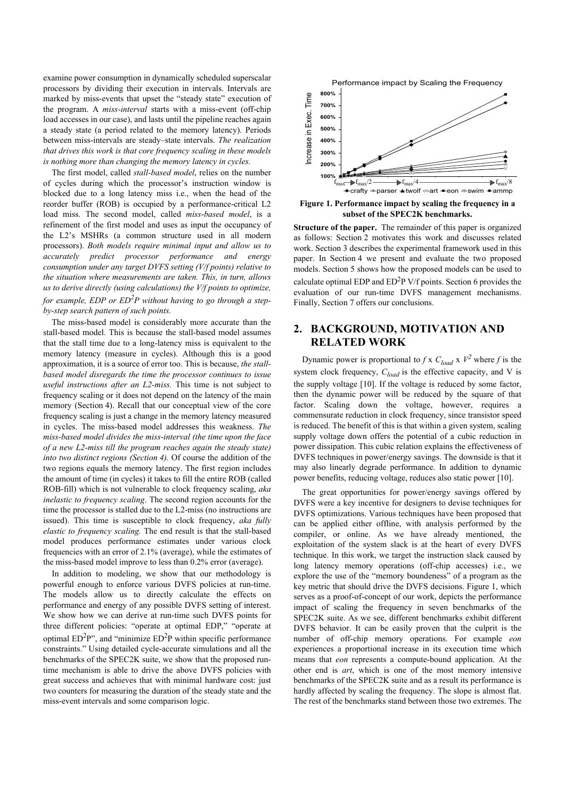examine power consumption in dynamically scheduled superscalar processors by dividing their execution in intervals. Intervals are marked by miss-events that upset the "steady state" execution of the program. A *miss-interval* starts with a miss-event (off-chip load accesses in our case), and lasts until the pipeline reaches again a steady state (a period related to the memory latency). Periods between miss-intervals are steady–state intervals. *The realization that drives this work is that core frequency scaling in these models is nothing more than changing the memory latency in cycles.*

The first model, called *stall-based model*, relies on the number of cycles during which the processor's instruction window is blocked due to a long latency miss i.e., when the head of the reorder buffer (ROB) is occupied by a performance-critical L2 load miss. The second model, called *miss-based model*, is a refinement of the first model and uses as input the occupancy of the L2's MSHRs (a common structure used in all modern processors). *Both models require minimal input and allow us to accurately predict processor performance and energy consumption under any target DVFS setting (V/f points) relative to the situation where measurements are taken. This, in turn, allows us to derive directly (using calculations) the V/f points to optimize, for example, EDP or ED2P without having to go through a stepby-step search pattern of such points.*

The miss-based model is considerably more accurate than the stall-based model. This is because the stall-based model assumes that the stall time due to a long-latency miss is equivalent to the memory latency (measure in cycles). Although this is a good approximation, it is a source of error too. This is because, *the stallbased model disregards the time the processor continues to issue useful instructions after an L2-miss.* This time is not subject to frequency scaling or it does not depend on the latency of the main memory (Section 4). Recall that our conceptual view of the core frequency scaling is just a change in the memory latency measured in cycles. The miss-based model addresses this weakness. *The miss-based model divides the miss-interval (the time upon the face of a new L2-miss till the program reaches again the steady state) into two distinct regions (Section 4).* Of course the addition of the two regions equals the memory latency. The first region includes the amount of time (in cycles) it takes to fill the entire ROB (called ROB-fill) which is not vulnerable to clock frequency scaling, *aka inelastic to frequency scaling*. The second region accounts for the time the processor is stalled due to the L2-miss (no instructions are issued). This time is susceptible to clock frequency, *aka fully elastic to frequency scaling.* The end result is that the stall-based model produces performance estimates under various clock frequencies with an error of 2.1% (average), while the estimates of the miss-based model improve to less than 0.2% error (average).

In addition to modeling, we show that our methodology is powerful enough to enforce various DVFS policies at run-time. The models allow us to directly calculate the effects on performance and energy of any possible DVFS setting of interest. We show how we can derive at run-time such DVFS points for three different policies: "operate at optimal EDP," "operate at optimal  $ED<sup>2</sup>P$ ", and "minimize  $ED<sup>2</sup>P$  within specific performance constraints." Using detailed cycle-accurate simulations and all the benchmarks of the SPEC2K suite, we show that the proposed runtime mechanism is able to drive the above DVFS policies with great success and achieves that with minimal hardware cost: just two counters for measuring the duration of the steady state and the miss-event intervals and some comparison logic.



**Figure 1. Performance impact by scaling the frequency in a subset of the SPEC2K benchmarks.**

**Structure of the paper.** The remainder of this paper is organized as follows: Section 2 motivates this work and discusses related work. Section 3 describes the experimental framework used in this paper. In Section 4 we present and evaluate the two proposed models. Section 5 shows how the proposed models can be used to calculate optimal EDP and  $ED<sup>2</sup>P$  V/f points. Section 6 provides the evaluation of our run-time DVFS management mechanisms. Finally, Section 7 offers our conclusions.

# **2. BACKGROUND, MOTIVATION AND RELATED WORK**

Dynamic power is proportional to *f* x  $C_{load}$  x  $V^2$  where *f* is the system clock frequency,  $C_{load}$  is the effective capacity, and V is the supply voltage [10]. If the voltage is reduced by some factor, then the dynamic power will be reduced by the square of that factor. Scaling down the voltage, however, requires a commensurate reduction in clock frequency, since transistor speed is reduced. The benefit of this is that within a given system, scaling supply voltage down offers the potential of a cubic reduction in power dissipation. This cubic relation explains the effectiveness of DVFS techniques in power/energy savings. The downside is that it may also linearly degrade performance. In addition to dynamic power benefits, reducing voltage, reduces also static power [10].

The great opportunities for power/energy savings offered by DVFS were a key incentive for designers to devise techniques for DVFS optimizations. Various techniques have been proposed that can be applied either offline, with analysis performed by the compiler, or online. As we have already mentioned, the exploitation of the system slack is at the heart of every DVFS technique. In this work, we target the instruction slack caused by long latency memory operations (off-chip accesses) i.e., we explore the use of the "memory boundeness" of a program as the key metric that should drive the DVFS decisions. Figure 1, which serves as a proof-of-concept of our work, depicts the performance impact of scaling the frequency in seven benchmarks of the SPEC2K suite. As we see, different benchmarks exhibit different DVFS behavior. It can be easily proven that the culprit is the number of off-chip memory operations. For example *eon* experiences a proportional increase in its execution time which means that *eon* represents a compute-bound application. At the other end is *art*, which is one of the most memory intensive benchmarks of the SPEC2K suite and as a result its performance is hardly affected by scaling the frequency. The slope is almost flat. The rest of the benchmarks stand between those two extremes. The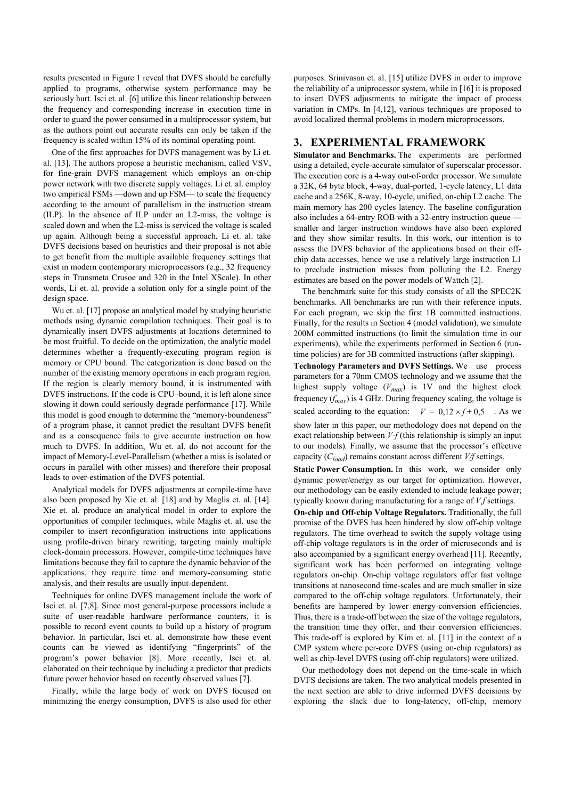results presented in Figure 1 reveal that DVFS should be carefully applied to programs, otherwise system performance may be seriously hurt. Isci et. al. [6] utilize this linear relationship between the frequency and corresponding increase in execution time in order to guard the power consumed in a multiprocessor system, but as the authors point out accurate results can only be taken if the frequency is scaled within 15% of its nominal operating point.

One of the first approaches for DVFS management was by Li et. al. [13]. The authors propose a heuristic mechanism, called VSV, for fine-grain DVFS management which employs an on-chip power network with two discrete supply voltages. Li et. al. employ two empirical FSMs —down and up FSM— to scale the frequency according to the amount of parallelism in the instruction stream (ILP). In the absence of ILP under an L2-miss, the voltage is scaled down and when the L2-miss is serviced the voltage is scaled up again. Although being a successful approach, Li et. al. take DVFS decisions based on heuristics and their proposal is not able to get benefit from the multiple available frequency settings that exist in modern contemporary microprocessors (e.g., 32 frequency steps in Transmeta Crusoe and 320 in the Intel XScale). In other words, Li et. al. provide a solution only for a single point of the design space.

Wu et. al. [17] propose an analytical model by studying heuristic methods using dynamic compilation techniques. Their goal is to dynamically insert DVFS adjustments at locations determined to be most fruitful. To decide on the optimization, the analytic model determines whether a frequently-executing program region is memory or CPU bound. The categorization is done based on the number of the existing memory operations in each program region. If the region is clearly memory bound, it is instrumented with DVFS instructions. If the code is CPU–bound, it is left alone since slowing it down could seriously degrade performance [17]. While this model is good enough to determine the "memory-boundeness" of a program phase, it cannot predict the resultant DVFS benefit and as a consequence fails to give accurate instruction on how much to DVFS. In addition, Wu et. al. do not account for the impact of Memory-Level-Parallelism (whether a miss is isolated or occurs in parallel with other misses) and therefore their proposal leads to over-estimation of the DVFS potential.

Analytical models for DVFS adjustments at compile-time have also been proposed by Xie et. al. [18] and by Maglis et. al. [14]. Xie et. al. produce an analytical model in order to explore the opportunities of compiler techniques, while Maglis et. al. use the compiler to insert reconfiguration instructions into applications using profile-driven binary rewriting, targeting mainly multiple clock-domain processors. However, compile-time techniques have limitations because they fail to capture the dynamic behavior of the applications, they require time and memory-consuming static analysis, and their results are usually input-dependent.

Techniques for online DVFS management include the work of Isci et. al. [7,8]. Since most general-purpose processors include a suite of user-readable hardware performance counters, it is possible to record event counts to build up a history of program behavior. In particular, Isci et. al. demonstrate how these event counts can be viewed as identifying "fingerprints" of the program's power behavior [8]. More recently, Isci et. al. elaborated on their technique by including a predictor that predicts future power behavior based on recently observed values [7].

Finally, while the large body of work on DVFS focused on minimizing the energy consumption, DVFS is also used for other

purposes. Srinivasan et. al. [15] utilize DVFS in order to improve the reliability of a uniprocessor system, while in [16] it is proposed to insert DVFS adjustments to mitigate the impact of process variation in CMPs. In [4,12], various techniques are proposed to avoid localized thermal problems in modern microprocessors.

## **3. EXPERIMENTAL FRAMEWORK**

**Simulator and Benchmarks.** The experiments are performed using a detailed, cycle-accurate simulator of superscalar processor. The execution core is a 4-way out-of-order processor. We simulate a 32K, 64 byte block, 4-way, dual-ported, 1-cycle latency, L1 data cache and a 256K, 8-way, 10-cycle, unified, on-chip L2 cache. The main memory has 200 cycles latency. The baseline configuration also includes a 64-entry ROB with a 32-entry instruction queue smaller and larger instruction windows have also been explored and they show similar results. In this work, our intention is to assess the DVFS behavior of the applications based on their offchip data accesses, hence we use a relatively large instruction L1 to preclude instruction misses from polluting the L2. Energy estimates are based on the power models of Wattch [2].

The benchmark suite for this study consists of all the SPEC2K benchmarks. All benchmarks are run with their reference inputs. For each program, we skip the first 1B committed instructions. Finally, for the results in Section 4 (model validation), we simulate 200M committed instructions (to limit the simulation time in our experiments), while the experiments performed in Section 6 (runtime policies) are for 3B committed instructions (after skipping).

**Technology Parameters and DVFS Settings.** We use process parameters for a 70nm CMOS technology and we assume that the highest supply voltage (*Vmax*) is 1V and the highest clock frequency  $(f_{max})$  is 4 GHz. During frequency scaling, the voltage is scaled according to the equation:  $V = 0.12 \times f + 0.5$ . As we show later in this paper, our methodology does not depend on the exact relationship between *V*-*f* (this relationship is simply an input to our models)*.* Finally, we assume that the processor's effective capacity (*Cload*) remains constant across different *V/f* settings.

**Static Power Consumption.** In this work, we consider only dynamic power/energy as our target for optimization. However, our methodology can be easily extended to include leakage power; typically known during manufacturing for a range of *V,f* settings.

**On-chip and Off-chip Voltage Regulators.** Traditionally, the full promise of the DVFS has been hindered by slow off-chip voltage regulators. The time overhead to switch the supply voltage using off-chip voltage regulators is in the order of microseconds and is also accompanied by a significant energy overhead [11]. Recently, significant work has been performed on integrating voltage regulators on-chip. On-chip voltage regulators offer fast voltage transitions at nanosecond time-scales and are much smaller in size compared to the off-chip voltage regulators. Unfortunately, their benefits are hampered by lower energy-conversion efficiencies. Thus, there is a trade-off between the size of the voltage regulators, the transition time they offer, and their conversion efficiencies. This trade-off is explored by Kim et. al. [11] in the context of a CMP system where per-core DVFS (using on-chip regulators) as well as chip-level DVFS (using off-chip regulators) were utilized.

Our methodology does not depend on the time-scale in which DVFS decisions are taken. The two analytical models presented in the next section are able to drive informed DVFS decisions by exploring the slack due to long-latency, off-chip, memory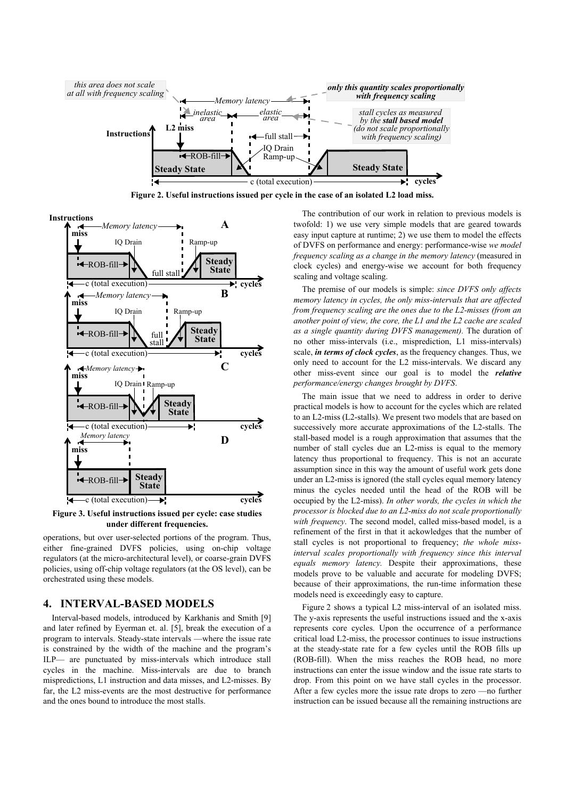

**Figure 2. Useful instructions issued per cycle in the case of an isolated L2 load miss.**



**Figure 3. Useful instructions issued per cycle: case studies under different frequencies.**

operations, but over user-selected portions of the program. Thus, either fine-grained DVFS policies, using on-chip voltage regulators (at the micro-architectural level), or coarse-grain DVFS policies, using off-chip voltage regulators (at the OS level), can be orchestrated using these models.

## **4. INTERVAL-BASED MODELS**

Interval-based models, introduced by Karkhanis and Smith [9] and later refined by Eyerman et. al. [5], break the execution of a program to intervals. Steady-state intervals —where the issue rate is constrained by the width of the machine and the program's ILP— are punctuated by miss-intervals which introduce stall cycles in the machine. Miss-intervals are due to branch mispredictions, L1 instruction and data misses, and L2-misses. By far, the L2 miss-events are the most destructive for performance and the ones bound to introduce the most stalls.

The contribution of our work in relation to previous models is twofold: 1) we use very simple models that are geared towards easy input capture at runtime; 2) we use them to model the effects of DVFS on performance and energy: performance-wise *we model frequency scaling as a change in the memory latency* (measured in clock cycles) and energy-wise we account for both frequency scaling and voltage scaling.

The premise of our models is simple: *since DVFS only affects memory latency in cycles, the only miss-intervals that are affected from frequency scaling are the ones due to the L2-misses (from an another point of view, the core, the L1 and the L2 cache are scaled as a single quantity during DVFS management).* The duration of no other miss-intervals (i.e., misprediction, L1 miss-intervals) scale, *in terms of clock cycles*, as the frequency changes. Thus, we only need to account for the L2 miss-intervals. We discard any other miss-event since our goal is to model the *relative performance/energy changes brought by DVFS*.

The main issue that we need to address in order to derive practical models is how to account for the cycles which are related to an L2-miss (L2-stalls). We present two models that are based on successively more accurate approximations of the L2-stalls. The stall-based model is a rough approximation that assumes that the number of stall cycles due an L2-miss is equal to the memory latency thus proportional to frequency. This is not an accurate assumption since in this way the amount of useful work gets done under an L2-miss is ignored (the stall cycles equal memory latency minus the cycles needed until the head of the ROB will be occupied by the L2-miss). *In other words, the cycles in which the processor is blocked due to an L2-miss do not scale proportionally with frequency*. The second model, called miss-based model, is a refinement of the first in that it ackowledges that the number of stall cycles is not proportional to frequency; *the whole missinterval scales proportionally with frequency since this interval equals memory latency.* Despite their approximations, these models prove to be valuable and accurate for modeling DVFS; because of their approximations, the run-time information these models need is exceedingly easy to capture.

Figure 2 shows a typical L2 miss-interval of an isolated miss. The y-axis represents the useful instructions issued and the x-axis represents core cycles. Upon the occurrence of a performance critical load L2-miss, the processor continues to issue instructions at the steady-state rate for a few cycles until the ROB fills up (ROB-fill). When the miss reaches the ROB head, no more instructions can enter the issue window and the issue rate starts to drop. From this point on we have stall cycles in the processor. After a few cycles more the issue rate drops to zero —no further instruction can be issued because all the remaining instructions are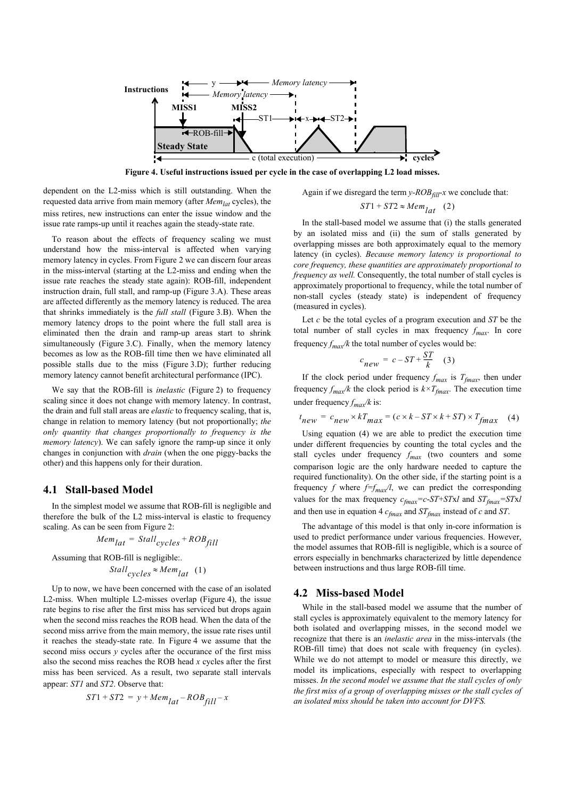

**Figure 4. Useful instructions issued per cycle in the case of overlapping L2 load misses.**

dependent on the L2-miss which is still outstanding. When the requested data arrive from main memory (after *Memlat* cycles), the miss retires, new instructions can enter the issue window and the issue rate ramps-up until it reaches again the steady-state rate.

To reason about the effects of frequency scaling we must understand how the miss-interval is affected when varying memory latency in cycles. From Figure 2 we can discern four areas in the miss-interval (starting at the L2-miss and ending when the issue rate reaches the steady state again): ROB-fill, independent instruction drain, full stall, and ramp-up (Figure 3.A). These areas are affected differently as the memory latency is reduced. The area that shrinks immediately is the *full stall* (Figure 3.B). When the memory latency drops to the point where the full stall area is eliminated then the drain and ramp-up areas start to shrink simultaneously (Figure 3.C). Finally, when the memory latency becomes as low as the ROB-fill time then we have eliminated all possible stalls due to the miss (Figure 3.D); further reducing memory latency cannot benefit architectural performance (IPC).

We say that the ROB-fill is *inelastic* (Figure 2) to frequency scaling since it does not change with memory latency. In contrast, the drain and full stall areas are *elastic* to frequency scaling, that is, change in relation to memory latency (but not proportionally; *the only quantity that changes proportionally to frequency is the memory latency*). We can safely ignore the ramp-up since it only changes in conjunction with *drain* (when the one piggy-backs the other) and this happens only for their duration.

#### **4.1 Stall-based Model**

In the simplest model we assume that ROB-fill is negligible and therefore the bulk of the L2 miss-interval is elastic to frequency scaling. As can be seen from Figure 2:

$$
Mem_{lat} = Stall_{cycles} + ROB_{fill}
$$

Assuming that ROB-fill is negligible:.

Stall<sub>cycles</sub> 
$$
\approx
$$
 *Mem*<sub>lat</sub> (1)

Up to now, we have been concerned with the case of an isolated L2-miss. When multiple L2-misses overlap (Figure 4), the issue rate begins to rise after the first miss has serviced but drops again when the second miss reaches the ROB head. When the data of the second miss arrive from the main memory, the issue rate rises until it reaches the steady-state rate. In Figure 4 we assume that the second miss occurs *y* cycles after the occurance of the first miss also the second miss reaches the ROB head *x* cycles after the first miss has been serviced. As a result, two separate stall intervals appear: *ST1* and *ST2*. Observe that:

$$
ST1 + ST2 = y + Mem_{lat} - ROB_{fill} - x
$$

Again if we disregard the term  $y$ - $ROB_{fill}$ -x we conclude that:

$$
ST1 + ST2 \approx Mem_{lat} \quad (2)
$$

In the stall-based model we assume that (i) the stalls generated by an isolated miss and (ii) the sum of stalls generated by overlapping misses are both approximately equal to the memory latency (in cycles). *Because memory latency is proportional to core frequency, these quantities are approximately proportional to frequency as well.* Consequently, the total number of stall cycles is approximately proportional to frequency, while the total number of non-stall cycles (steady state) is independent of frequency (measured in cycles).

Let *c* be the total cycles of a program execution and *ST* be the total number of stall cycles in max frequency  $f_{max}$ . In core frequency  $f_{max}/k$  the total number of cycles would be:

$$
c_{new} = c - ST + \frac{ST}{k} \quad (3)
$$

If the clock period under frequency  $f_{max}$  is  $T_{fmax}$ , then under frequency  $f_{max}/k$  the clock period is  $k \times T_{fmax}$ . The execution time under frequency  $f_{max}/k$  is:

$$
t_{new} = c_{new} \times kT_{max} = (c \times k - ST \times k + ST) \times T_{fmax}
$$
 (4)

Using equation (4) we are able to predict the execution time under different frequencies by counting the total cycles and the stall cycles under frequency  $f_{max}$  (two counters and some comparison logic are the only hardware needed to capture the required functionality). On the other side, if the starting point is a frequency *f* where  $f=f_{max}/l$ , we can predict the corresponding values for the max frequency  $c_{fmax} = c - ST + STxI$  and  $ST_{fmax} = STxI$ and then use in equation 4 *cfmax* and *STfmax* instead of *c* and *ST*.

The advantage of this model is that only in-core information is used to predict performance under various frequencies. However, the model assumes that ROB-fill is negligible, which is a source of errors especially in benchmarks characterized by little dependence between instructions and thus large ROB-fill time.

#### **4.2 Miss-based Model**

While in the stall-based model we assume that the number of stall cycles is approximately equivalent to the memory latency for both isolated and overlapping misses, in the second model we recognize that there is an *inelastic area* in the miss-intervals (the ROB-fill time) that does not scale with frequency (in cycles). While we do not attempt to model or measure this directly, we model its implications, especially with respect to overlapping misses. *In the second model we assume that the stall cycles of only the first miss of a group of overlapping misses or the stall cycles of an isolated miss should be taken into account for DVFS.*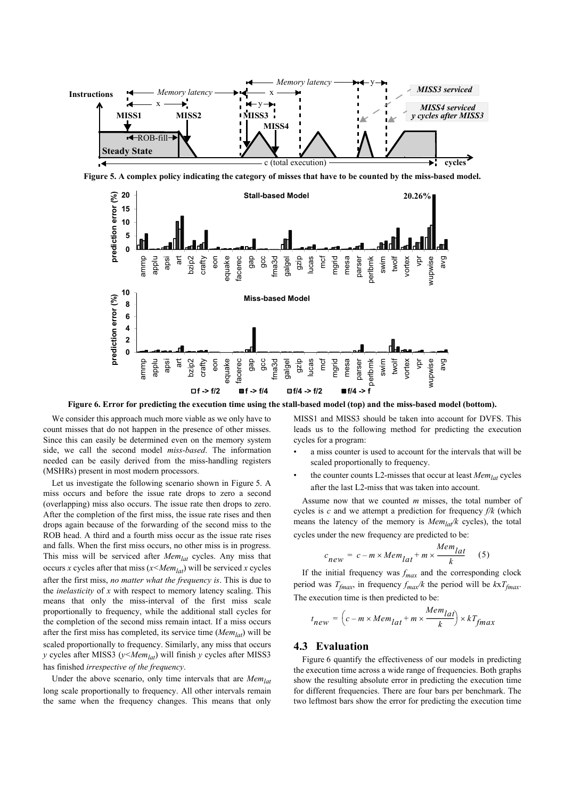

**Figure 5. A complex policy indicating the category of misses that have to be counted by the miss-based model.**



**Figure 6. Error for predicting the execution time using the stall-based model (top) and the miss-based model (bottom).**

We consider this approach much more viable as we only have to count misses that do not happen in the presence of other misses. Since this can easily be determined even on the memory system side, we call the second model *miss-based*. The information needed can be easily derived from the miss-handling registers (MSHRs) present in most modern processors.

Let us investigate the following scenario shown in Figure 5. A miss occurs and before the issue rate drops to zero a second (overlapping) miss also occurs. The issue rate then drops to zero. After the completion of the first miss, the issue rate rises and then drops again because of the forwarding of the second miss to the ROB head. A third and a fourth miss occur as the issue rate rises and falls. When the first miss occurs, no other miss is in progress. This miss will be serviced after *Memlat* cycles. Any miss that occurs *x* cycles after that miss  $(x \leq Mem_{lat})$  will be serviced *x* cycles after the first miss, *no matter what the frequency is*. This is due to the *inelasticity* of *x* with respect to memory latency scaling. This means that only the miss-interval of the first miss scale proportionally to frequency, while the additional stall cycles for the completion of the second miss remain intact. If a miss occurs after the first miss has completed, its service time (*Memlat*) will be scaled proportionally to frequency. Similarly, any miss that occurs *y* cycles after MISS3 (*y<Memlat*) will finish *y* cycles after MISS3 has finished *irrespective of the frequency*.

Under the above scenario, only time intervals that are *Memlat* long scale proportionally to frequency. All other intervals remain the same when the frequency changes. This means that only

MISS1 and MISS3 should be taken into account for DVFS. This leads us to the following method for predicting the execution cycles for a program:

- a miss counter is used to account for the intervals that will be scaled proportionally to frequency.
- the counter counts L2-misses that occur at least *Memlat* cycles after the last L2-miss that was taken into account.

Assume now that we counted *m* misses, the total number of cycles is *c* and we attempt a prediction for frequency *f/k* (which means the latency of the memory is  $Mem<sub>lar</sub>/k$  cycles), the total cycles under the new frequency are predicted to be:

$$
c_{new} = c - m \times Mem_{lat} + m \times \frac{Mem_{lat}}{k} \quad (5)
$$

If the initial frequency was  $f_{max}$  and the corresponding clock period was  $T_{fmax}$ , in frequency  $f_{max}/k$  the period will be  $kxT_{fmax}$ . The execution time is then predicted to be:

$$
t_{new} = \left(c - m \times Mem_{lat} + m \times \frac{Mem_{lat}}{k}\right) \times kT_{fmax}
$$

#### **4.3 Evaluation**

Figure 6 quantify the effectiveness of our models in predicting the execution time across a wide range of frequencies. Both graphs show the resulting absolute error in predicting the execution time for different frequencies. There are four bars per benchmark. The two leftmost bars show the error for predicting the execution time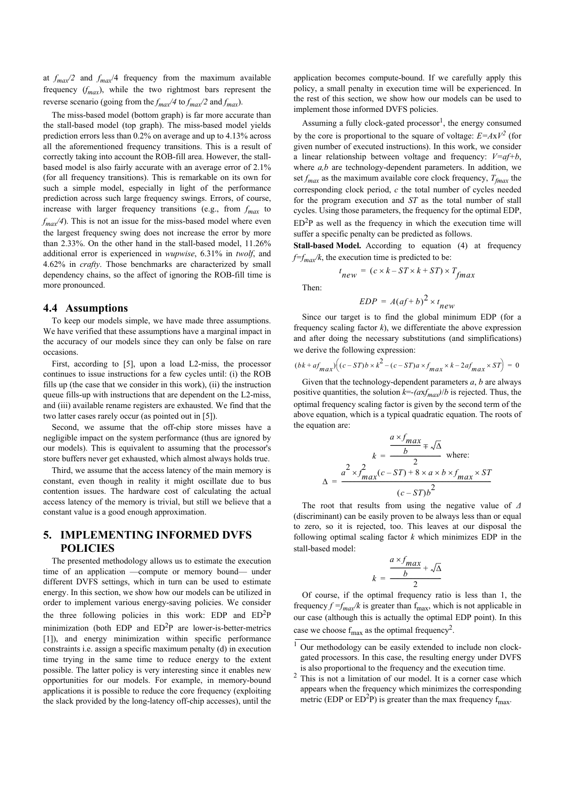at  $f_{max}/2$  and  $f_{max}/4$  frequency from the maximum available frequency  $(f_{max})$ , while the two rightmost bars represent the reverse scenario (going from the  $f_{max}/4$  to  $f_{max}/2$  and  $f_{max}$ ).

The miss-based model (bottom graph) is far more accurate than the stall-based model (top graph). The miss-based model yields prediction errors less than 0.2% on average and up to 4.13% across all the aforementioned frequency transitions. This is a result of correctly taking into account the ROB-fill area. However, the stallbased model is also fairly accurate with an average error of 2.1% (for all frequency transitions). This is remarkable on its own for such a simple model, especially in light of the performance prediction across such large frequency swings. Errors, of course, increase with larger frequency transitions (e.g., from  $f_{max}$  to  $f_{max}/4$ ). This is not an issue for the miss-based model where even the largest frequency swing does not increase the error by more than 2.33%. On the other hand in the stall-based model, 11.26% additional error is experienced in *wupwise*, 6.31% in *twolf*, and 4.62% in *crafty*. Those benchmarks are characterized by small dependency chains, so the affect of ignoring the ROB-fill time is more pronounced.

#### **4.4 Assumptions**

To keep our models simple, we have made three assumptions. We have verified that these assumptions have a marginal impact in the accuracy of our models since they can only be false on rare occasions.

First, according to [5], upon a load L2-miss, the processor continues to issue instructions for a few cycles until: (i) the ROB fills up (the case that we consider in this work), (ii) the instruction queue fills-up with instructions that are dependent on the L2-miss, and (iii) available rename registers are exhausted. We find that the two latter cases rarely occur (as pointed out in [5]).

Second, we assume that the off-chip store misses have a negligible impact on the system performance (thus are ignored by our models). This is equivalent to assuming that the processor's store buffers never get exhausted, which almost always holds true.

Third, we assume that the access latency of the main memory is constant, even though in reality it might oscillate due to bus contention issues. The hardware cost of calculating the actual access latency of the memory is trivial, but still we believe that a constant value is a good enough approximation.

# **5. IMPLEMENTING INFORMED DVFS POLICIES**

The presented methodology allows us to estimate the execution time of an application —compute or memory bound— under different DVFS settings, which in turn can be used to estimate energy. In this section, we show how our models can be utilized in order to implement various energy-saving policies. We consider the three following policies in this work: EDP and  $ED<sup>2</sup>P$ minimization (both EDP and  $ED<sup>2</sup>P$  are lower-is-better-metrics [1]), and energy minimization within specific performance constraints i.e. assign a specific maximum penalty (d) in execution time trying in the same time to reduce energy to the extent possible. The latter policy is very interesting since it enables new opportunities for our models. For example, in memory-bound applications it is possible to reduce the core frequency (exploiting the slack provided by the long-latency off-chip accesses), until the

application becomes compute-bound. If we carefully apply this policy, a small penalty in execution time will be experienced. In the rest of this section, we show how our models can be used to implement those informed DVFS policies.

Assuming a fully clock-gated processor<sup>1</sup>, the energy consumed by the core is proportional to the square of voltage:  $E = AxV^2$  (for given number of executed instructions). In this work, we consider a linear relationship between voltage and frequency: *V=af+b*, where *a,b* are technology-dependent parameters. In addition, we set  $f_{max}$  as the maximum available core clock frequency,  $T_{fmax}$  the corresponding clock period, *c* the total number of cycles needed for the program execution and *ST* as the total number of stall cycles. Using those parameters, the frequency for the optimal EDP,  $ED<sup>2</sup>P$  as well as the frequency in which the execution time will suffer a specific penalty can be predicted as follows.

**Stall-based Model.** According to equation (4) at frequency  $f=f_{max}/k$ , the execution time is predicted to be:

$$
t_{new} = (c \times k - ST \times k + ST) \times T_{fmax}
$$

Then:

$$
EDP = A(af+b)^2 \times t_{new}
$$

Since our target is to find the global minimum EDP (for a frequency scaling factor  $k$ ), we differentiate the above expression and after doing the necessary substitutions (and simplifications) we derive the following expression:

$$
(bk+af_{max})\Big((c-ST)b\times k^2-(c-ST)a\times f_{max}\times k-2af_{max}\times ST\Big)\,=\,0
$$

Given that the technology-dependent parameters *a*, *b* are always positive quantities, the solution  $k = (axf_{max})/b$  is rejected. Thus, the optimal frequency scaling factor is given by the second term of the above equation, which is a typical quadratic equation. The roots of the equation are:

$$
k = \frac{\frac{a \times f_{max}}{b} \pm \sqrt{\Delta}}{2} \text{ where:}
$$

$$
\Delta = \frac{a^2 \times f_{max}(c - ST) + 8 \times a \times b \times f_{max} \times ST}{(c - ST)b^2}
$$

The root that results from using the negative value of *Δ* (discriminant) can be easily proven to be always less than or equal to zero, so it is rejected, too. This leaves at our disposal the following optimal scaling factor *k* which minimizes EDP in the stall-based model:

$$
k = \frac{\frac{a \times f_{max}}{b} + \sqrt{\Delta}}{2}
$$

Of course, if the optimal frequency ratio is less than 1, the frequency  $f = f_{max}/k$  is greater than  $f_{max}$ , which is not applicable in our case (although this is actually the optimal EDP point). In this case we choose  $f_{\text{max}}$  as the optimal frequency<sup>2</sup>.

<sup>&</sup>lt;sup>1</sup> Our methodology can be easily extended to include non clockgated processors. In this case, the resulting energy under DVFS is also proportional to the frequency and the execution time.

 $2$  This is not a limitation of our model. It is a corner case which appears when the frequency which minimizes the corresponding metric (EDP or  $ED^2P$ ) is greater than the max frequency  $f_{max}$ .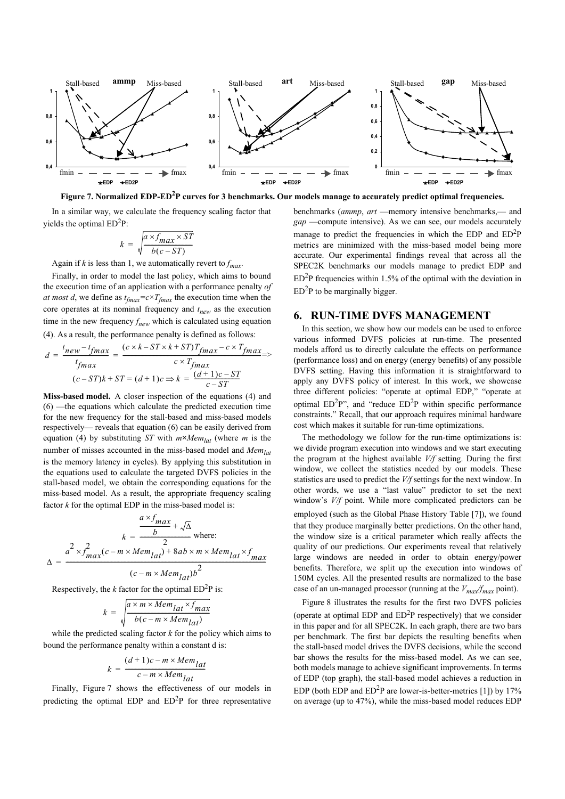



In a similar way, we calculate the frequency scaling factor that yields the optimal  $ED<sup>2</sup>P$ :

$$
k = \sqrt{\frac{a \times f_{max} \times ST}{b(c - ST)}}
$$

Again if *k* is less than 1, we automatically revert to  $f_{max}$ .

Finally, in order to model the last policy, which aims to bound the execution time of an application with a performance penalty *of at most d*, we define as  $t_{\text{fmax}} = c \times T_{\text{fmax}}$  the execution time when the core operates at its nominal frequency and  $t<sub>new</sub>$  as the execution time in the new frequency  $f_{new}$  which is calculated using equation (4). As a result, the performance penalty is defined as follows:

$$
d = \frac{t_{new} - t_{fmax}}{t_{fmax}} = \frac{(c \times k - ST \times k + ST)T_{fmax} - c \times T_{fmax}}{c \times T_{fmax}} = \times
$$

$$
(c - ST)k + ST = (d + 1)c \Rightarrow k = \frac{(d + 1)c - ST}{c - ST}
$$

**Miss-based model.** A closer inspection of the equations (4) and (6) —the equations which calculate the predicted execution time for the new frequency for the stall-based and miss-based models respectively— reveals that equation (6) can be easily derived from equation (4) by substituting *ST* with  $m \times Mem_{lat}$  (where *m* is the number of misses accounted in the miss-based model and *Mem*<sub>lat</sub> is the memory latency in cycles). By applying this substitution in the equations used to calculate the targeted DVFS policies in the stall-based model, we obtain the corresponding equations for the miss-based model. As a result, the appropriate frequency scaling factor *k* for the optimal EDP in the miss-based model is:

$$
k = \frac{\frac{a \times f_{max}}{b} + \sqrt{\Delta}}{2} \text{ where:}
$$

$$
\Delta = \frac{a^2 \times f_{max}^2 (c - m \times Mem_{lat}) + 8ab \times m \times Mem_{lat} \times f_{max}}{(c - m \times Mem_{lat})b^2}
$$

Respectively, the *k* factor for the optimal  $ED<sup>2</sup>P$  is:

$$
k = \sqrt{\frac{a \times m \times Mem_{lat} \times f_{max}}{b(c - m \times Mem_{lat})}}
$$

while the predicted scaling factor *k* for the policy which aims to bound the performance penalty within a constant d is:

$$
k = \frac{(d+1)c - m \times Mem_{lat}}{c - m \times Mem_{lat}}
$$

Finally, Figure 7 shows the effectiveness of our models in predicting the optimal EDP and  $ED^2P$  for three representative benchmarks (*ammp*, *art* —memory intensive benchmarks,— and *gap* —compute intensive). As we can see, our models accurately manage to predict the frequencies in which the EDP and  $ED<sup>2</sup>P$ metrics are minimized with the miss-based model being more accurate. Our experimental findings reveal that across all the SPEC2K benchmarks our models manage to predict EDP and  $ED<sup>2</sup>P$  frequencies within 1.5% of the optimal with the deviation in  $ED<sup>2</sup>P$  to be marginally bigger.

#### **6. RUN-TIME DVFS MANAGEMENT**

In this section, we show how our models can be used to enforce various informed DVFS policies at run-time. The presented models afford us to directly calculate the effects on performance (performance loss) and on energy (energy benefits) of any possible DVFS setting. Having this information it is straightforward to apply any DVFS policy of interest. In this work, we showcase three different policies: "operate at optimal EDP," "operate at optimal  $ED<sup>2</sup>P$ ", and "reduce  $ED<sup>2</sup>P$  within specific performance constraints." Recall, that our approach requires minimal hardware cost which makes it suitable for run-time optimizations.

The methodology we follow for the run-time optimizations is: we divide program execution into windows and we start executing the program at the highest available *V/f* setting. During the first window, we collect the statistics needed by our models. These statistics are used to predict the *V/f* settings for the next window. In other words, we use a "last value" predictor to set the next window's *V/f* point. While more complicated predictors can be employed (such as the Global Phase History Table [7]), we found that they produce marginally better predictions. On the other hand, the window size is a critical parameter which really affects the quality of our predictions. Our experiments reveal that relatively large windows are needed in order to obtain energy/power benefits. Therefore, we split up the execution into windows of 150M cycles. All the presented results are normalized to the base case of an un-managed processor (running at the  $V_{max}/f_{max}$  point).

Figure 8 illustrates the results for the first two DVFS policies (operate at optimal EDP and  $ED<sup>2</sup>P$  respectively) that we consider in this paper and for all SPEC2K. In each graph, there are two bars per benchmark. The first bar depicts the resulting benefits when the stall-based model drives the DVFS decisions, while the second bar shows the results for the miss-based model. As we can see, both models manage to achieve significant improvements. In terms of EDP (top graph), the stall-based model achieves a reduction in EDP (both EDP and  $ED^2P$  are lower-is-better-metrics [1]) by 17% on average (up to 47%), while the miss-based model reduces EDP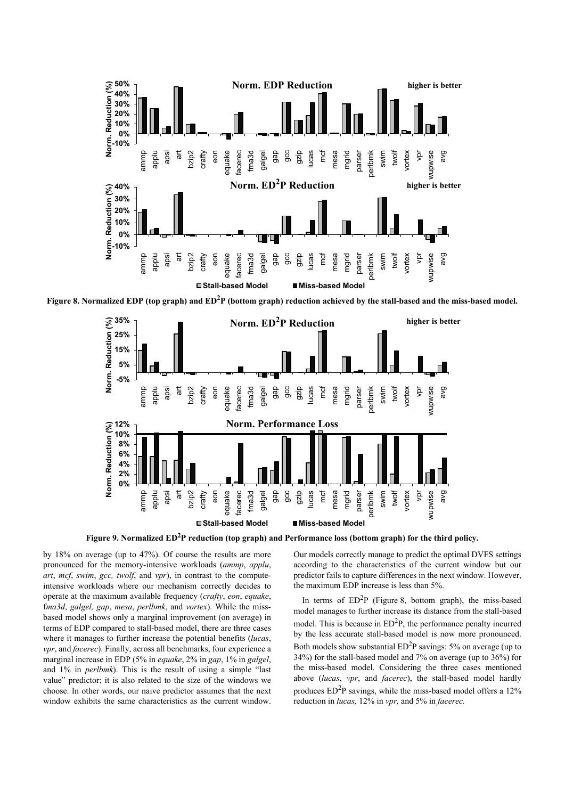

Figure 8. Normalized EDP (top graph) and ED<sup>2</sup>P (bottom graph) reduction achieved by the stall-based and the miss-based model.



Figure 9. Normalized ED<sup>2</sup>P reduction (top graph) and Performance loss (bottom graph) for the third policy.

by 18% on average (up to 47%). Of course the results are more pronounced for the memory-intensive workloads (*ammp*, *applu*, *art*, *mcf*, *swim*, *gcc, twolf*, and *vpr*), in contrast to the computeintensive workloads where our mechanism correctly decides to operate at the maximum available frequency (*crafty*, *eon*, *equake*, f*ma3d*, *galgel, gap*, *mesa*, *perlbmk*, and *vortex*). While the missbased model shows only a marginal improvement (on average) in terms of EDP compared to stall-based model, there are three cases where it manages to further increase the potential benefits (*lucas*, *vpr*, and *facerec*). Finally, across all benchmarks, four experience a marginal increase in EDP (5% in *equake*, 2% in *gap*, 1% in *galgel*, and 1% in *perlbmk*). This is the result of using a simple "last value" predictor; it is also related to the size of the windows we choose. In other words, our naive predictor assumes that the next window exhibits the same characteristics as the current window.

Our models correctly manage to predict the optimal DVFS settings according to the characteristics of the current window but our predictor fails to capture differences in the next window. However, the maximum EDP increase is less than 5%.

In terms of  $ED<sup>2</sup>P$  (Figure 8, bottom graph), the miss-based model manages to further increase its distance from the stall-based model. This is because in  $ED<sup>2</sup>P$ , the performance penalty incurred by the less accurate stall-based model is now more pronounced. Both models show substantial  $ED<sup>2</sup>P$  savings: 5% on average (up to 34%) for the stall-based model and 7% on average (up to 36%) for the miss-based model. Considering the three cases mentioned above (*lucas*, *vpr*, and *facerec*), the stall-based model hardly produces  $ED<sup>2</sup>P$  savings, while the miss-based model offers a 12% reduction in *lucas,* 12% in *vpr,* and 5% in *facerec.*